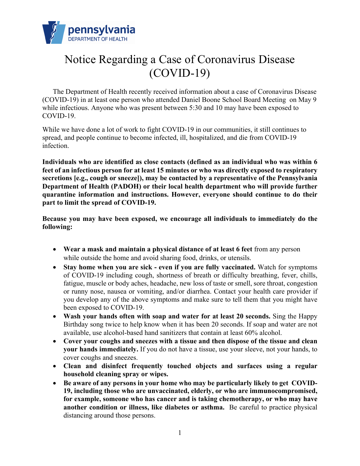

## Notice Regarding a Case of Coronavirus Disease (COVID-19)

The Department of Health recently received information about a case of Coronavirus Disease (COVID-19) in at least one person who attended Daniel Boone School Board Meeting on May 9 while infectious. Anyone who was present between 5:30 and 10 may have been exposed to COVID-19.

While we have done a lot of work to fight COVID-19 in our communities, it still continues to spread, and people continue to become infected, ill, hospitalized, and die from COVID-19 infection.

**Individuals who are identified as close contacts (defined as an individual who was within 6 feet of an infectious person for at least 15 minutes or who was directly exposed to respiratory secretions [e.g., cough or sneeze]), may be contacted by a representative of the Pennsylvania Department of Health (PADOH) or their local health department who will provide further quarantine information and instructions. However, everyone should continue to do their part to limit the spread of COVID-19.** 

**Because you may have been exposed, we encourage all individuals to immediately do the following:**

- **Wear a mask and maintain a physical distance of at least 6 feet** from any person while outside the home and avoid sharing food, drinks, or utensils.
- **Stay home when you are sick - even if you are fully vaccinated.** Watch for symptoms of COVID-19 including cough, shortness of breath or difficulty breathing, fever, chills, fatigue, muscle or body aches, headache, new loss of taste or smell, sore throat, congestion or runny nose, nausea or vomiting, and/or diarrhea. Contact your health care provider if you develop any of the above symptoms and make sure to tell them that you might have been exposed to COVID-19.
- **Wash your hands often with soap and water for at least 20 seconds.** Sing the Happy Birthday song twice to help know when it has been 20 seconds. If soap and water are not available, use alcohol-based hand sanitizers that contain at least 60% alcohol.
- **Cover your coughs and sneezes with a tissue and then dispose of the tissue and clean your hands immediately.** If you do not have a tissue, use your sleeve, not your hands, to cover coughs and sneezes.
- **Clean and disinfect frequently touched objects and surfaces using a regular household cleaning spray or wipes.**
- **Be aware of any persons in your home who may be particularly likely to get COVID-19, including those who are unvaccinated, elderly, or who are immunocompromised, for example, someone who has cancer and is taking chemotherapy, or who may have another condition or illness, like diabetes or asthma.** Be careful to practice physical distancing around those persons.